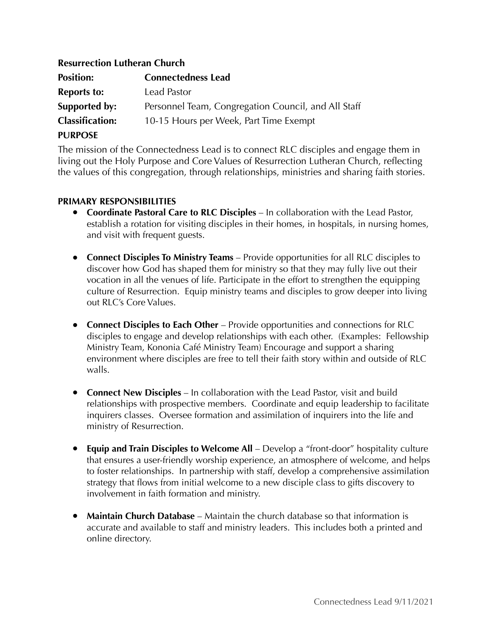## **Resurrection Lutheran Church**

| <b>Position:</b>       | <b>Connectedness Lead</b>                           |
|------------------------|-----------------------------------------------------|
| <b>Reports to:</b>     | Lead Pastor                                         |
| Supported by:          | Personnel Team, Congregation Council, and All Staff |
| <b>Classification:</b> | 10-15 Hours per Week, Part Time Exempt              |
| <b>PURPOSE</b>         |                                                     |

The mission of the Connectedness Lead is to connect RLC disciples and engage them in living out the Holy Purpose and Core Values of Resurrection Lutheran Church, reflecting the values of this congregation, through relationships, ministries and sharing faith stories.

## **PRIMARY RESPONSIBILITIES**

- **Coordinate Pastoral Care to RLC Disciples** In collaboration with the Lead Pastor, establish a rotation for visiting disciples in their homes, in hospitals, in nursing homes, and visit with frequent guests.
- **Connect Disciples To Ministry Teams** Provide opportunities for all RLC disciples to discover how God has shaped them for ministry so that they may fully live out their vocation in all the venues of life. Participate in the effort to strengthen the equipping culture of Resurrection. Equip ministry teams and disciples to grow deeper into living out RLC's Core Values.
- **Connect Disciples to Each Other** Provide opportunities and connections for RLC disciples to engage and develop relationships with each other. (Examples: Fellowship Ministry Team, Kononia Café Ministry Team) Encourage and support a sharing environment where disciples are free to tell their faith story within and outside of RLC walls.
- **Connect New Disciples** In collaboration with the Lead Pastor, visit and build relationships with prospective members. Coordinate and equip leadership to facilitate inquirers classes. Oversee formation and assimilation of inquirers into the life and ministry of Resurrection.
- **Equip and Train Disciples to Welcome All** Develop a "front-door" hospitality culture that ensures a user-friendly worship experience, an atmosphere of welcome, and helps to foster relationships. In partnership with staff, develop a comprehensive assimilation strategy that flows from initial welcome to a new disciple class to gifts discovery to involvement in faith formation and ministry.
- **Maintain Church Database** Maintain the church database so that information is accurate and available to staff and ministry leaders. This includes both a printed and online directory.